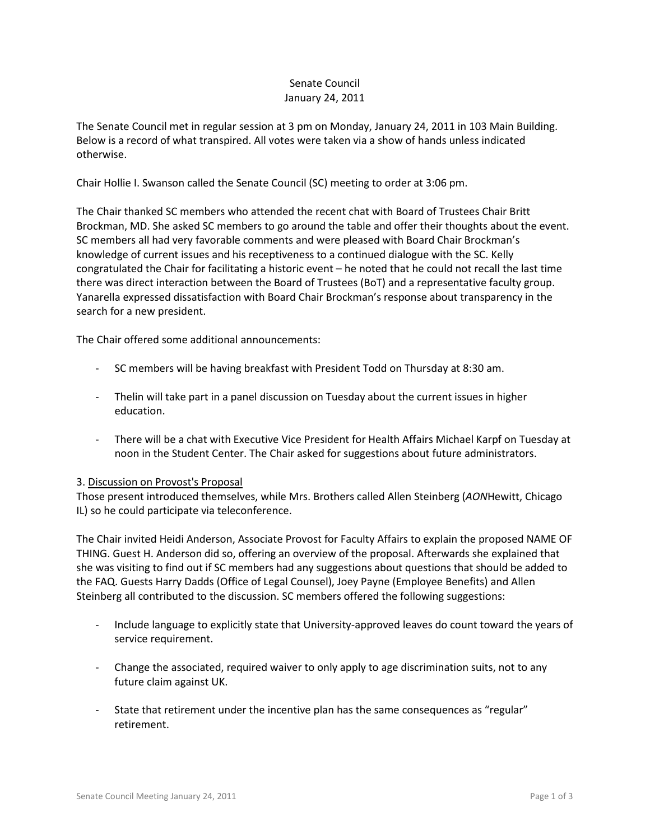## Senate Council January 24, 2011

The Senate Council met in regular session at 3 pm on Monday, January 24, 2011 in 103 Main Building. Below is a record of what transpired. All votes were taken via a show of hands unless indicated otherwise.

Chair Hollie I. Swanson called the Senate Council (SC) meeting to order at 3:06 pm.

The Chair thanked SC members who attended the recent chat with Board of Trustees Chair Britt Brockman, MD. She asked SC members to go around the table and offer their thoughts about the event. SC members all had very favorable comments and were pleased with Board Chair Brockman's knowledge of current issues and his receptiveness to a continued dialogue with the SC. Kelly congratulated the Chair for facilitating a historic event – he noted that he could not recall the last time there was direct interaction between the Board of Trustees (BoT) and a representative faculty group. Yanarella expressed dissatisfaction with Board Chair Brockman's response about transparency in the search for a new president.

The Chair offered some additional announcements:

- SC members will be having breakfast with President Todd on Thursday at 8:30 am.
- Thelin will take part in a panel discussion on Tuesday about the current issues in higher education.
- There will be a chat with Executive Vice President for Health Affairs Michael Karpf on Tuesday at noon in the Student Center. The Chair asked for suggestions about future administrators.

## 3. Discussion on Provost's Proposal

Those present introduced themselves, while Mrs. Brothers called Allen Steinberg (*AON*Hewitt, Chicago IL) so he could participate via teleconference.

The Chair invited Heidi Anderson, Associate Provost for Faculty Affairs to explain the proposed NAME OF THING. Guest H. Anderson did so, offering an overview of the proposal. Afterwards she explained that she was visiting to find out if SC members had any suggestions about questions that should be added to the FAQ. Guests Harry Dadds (Office of Legal Counsel), Joey Payne (Employee Benefits) and Allen Steinberg all contributed to the discussion. SC members offered the following suggestions:

- Include language to explicitly state that University-approved leaves do count toward the years of service requirement.
- Change the associated, required waiver to only apply to age discrimination suits, not to any future claim against UK.
- State that retirement under the incentive plan has the same consequences as "regular" retirement.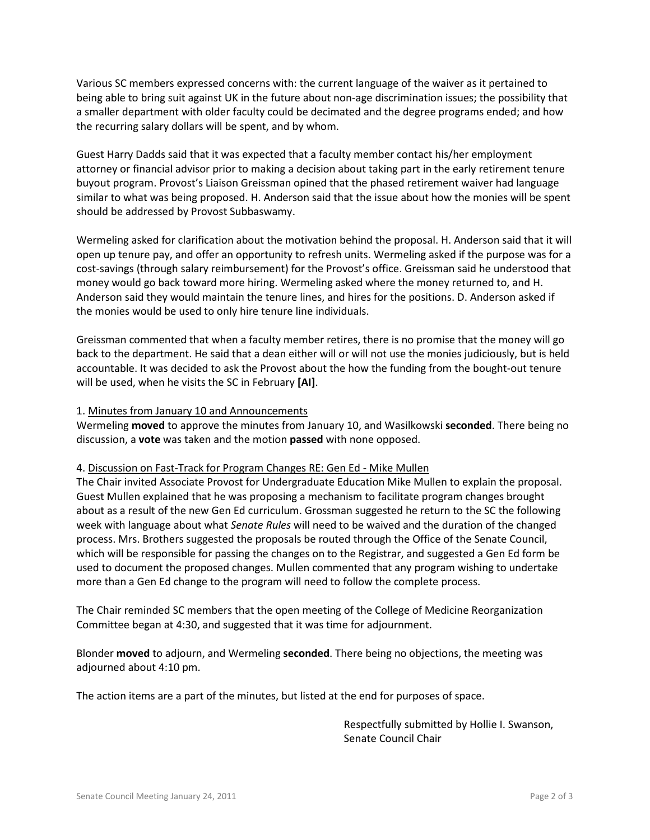Various SC members expressed concerns with: the current language of the waiver as it pertained to being able to bring suit against UK in the future about non-age discrimination issues; the possibility that a smaller department with older faculty could be decimated and the degree programs ended; and how the recurring salary dollars will be spent, and by whom.

Guest Harry Dadds said that it was expected that a faculty member contact his/her employment attorney or financial advisor prior to making a decision about taking part in the early retirement tenure buyout program. Provost's Liaison Greissman opined that the phased retirement waiver had language similar to what was being proposed. H. Anderson said that the issue about how the monies will be spent should be addressed by Provost Subbaswamy.

Wermeling asked for clarification about the motivation behind the proposal. H. Anderson said that it will open up tenure pay, and offer an opportunity to refresh units. Wermeling asked if the purpose was for a cost-savings (through salary reimbursement) for the Provost's office. Greissman said he understood that money would go back toward more hiring. Wermeling asked where the money returned to, and H. Anderson said they would maintain the tenure lines, and hires for the positions. D. Anderson asked if the monies would be used to only hire tenure line individuals.

Greissman commented that when a faculty member retires, there is no promise that the money will go back to the department. He said that a dean either will or will not use the monies judiciously, but is held accountable. It was decided to ask the Provost about the how the funding from the bought-out tenure will be used, when he visits the SC in February **[AI]**.

## 1. Minutes from January 10 and Announcements

Wermeling **moved** to approve the minutes from January 10, and Wasilkowski **seconded**. There being no discussion, a **vote** was taken and the motion **passed** with none opposed.

## 4. Discussion on Fast-Track for Program Changes RE: Gen Ed - Mike Mullen

The Chair invited Associate Provost for Undergraduate Education Mike Mullen to explain the proposal. Guest Mullen explained that he was proposing a mechanism to facilitate program changes brought about as a result of the new Gen Ed curriculum. Grossman suggested he return to the SC the following week with language about what *Senate Rules* will need to be waived and the duration of the changed process. Mrs. Brothers suggested the proposals be routed through the Office of the Senate Council, which will be responsible for passing the changes on to the Registrar, and suggested a Gen Ed form be used to document the proposed changes. Mullen commented that any program wishing to undertake more than a Gen Ed change to the program will need to follow the complete process.

The Chair reminded SC members that the open meeting of the College of Medicine Reorganization Committee began at 4:30, and suggested that it was time for adjournment.

Blonder **moved** to adjourn, and Wermeling **seconded**. There being no objections, the meeting was adjourned about 4:10 pm.

The action items are a part of the minutes, but listed at the end for purposes of space.

Respectfully submitted by Hollie I. Swanson, Senate Council Chair